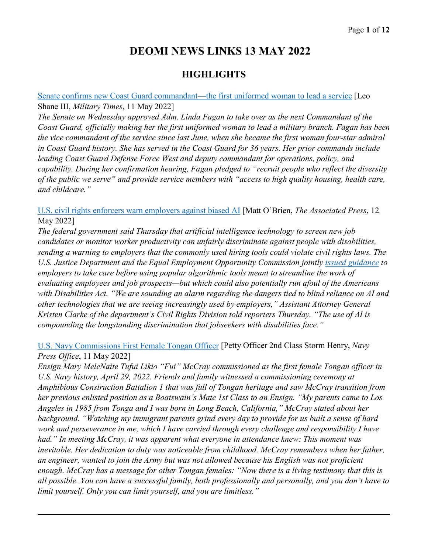# **DEOMI NEWS LINKS 13 MAY 2022**

## **HIGHLIGHTS**

[Senate confirms new Coast Guard commandant—the first uniformed woman to lead a service](https://www.militarytimes.com/news/pentagon-congress/2022/05/11/senate-confirms-new-coast-guard-commandant-the-first-uniformed-woman-to-lead-a-service/) [Leo Shane III, *Military Times*, 11 May 2022]

*The Senate on Wednesday approved Adm. Linda Fagan to take over as the next Commandant of the Coast Guard, officially making her the first uniformed woman to lead a military branch. Fagan has been the vice commandant of the service since last June, when she became the first woman four-star admiral in Coast Guard history. She has served in the Coast Guard for 36 years. Her prior commands include leading Coast Guard Defense Force West and deputy commandant for operations, policy, and capability. During her confirmation hearing, Fagan pledged to "recruit people who reflect the diversity of the public we serve" and provide service members with "access to high quality housing, health care, and childcare."* 

[U.S. civil rights enforcers warn employers against biased AI](https://apnews.com/article/technology-discrimination-artificial-intelligence-e1bcf4a2e7f1b671cbf3a44bc99b3656) [Matt O'Brien, *The Associated Press*, 12 May 2022]

*The federal government said Thursday that artificial intelligence technology to screen new job candidates or monitor worker productivity can unfairly discriminate against people with disabilities, sending a warning to employers that the commonly used hiring tools could violate civil rights laws. The U.S. Justice Department and the Equal Employment Opportunity Commission jointly [issued guidance](https://www.justice.gov/opa/pr/justice-department-and-eeoc-warn-against-disability-discrimination) to employers to take care before using popular algorithmic tools meant to streamline the work of evaluating employees and job prospects—but which could also potentially run afoul of the Americans with Disabilities Act. "We are sounding an alarm regarding the dangers tied to blind reliance on AI and other technologies that we are seeing increasingly used by employers," Assistant Attorney General Kristen Clarke of the department's Civil Rights Division told reporters Thursday. "The use of AI is compounding the longstanding discrimination that jobseekers with disabilities face."* 

## [U.S. Navy Commissions First Female Tongan Officer](https://www.navy.mil/Press-Office/News-Stories/Article/3027839/us-navy-commissions-first-female-tongan-officer/) [Petty Officer 2nd Class Storm Henry, *Navy Press Office*, 11 May 2022]

*Ensign Mary MeleNaite Tufui Likio "Fui" McCray commissioned as the first female Tongan officer in U.S. Navy history, April 29, 2022. Friends and family witnessed a commissioning ceremony at Amphibious Construction Battalion 1 that was full of Tongan heritage and saw McCray transition from her previous enlisted position as a Boatswain's Mate 1st Class to an Ensign. "My parents came to Los Angeles in 1985 from Tonga and I was born in Long Beach, California," McCray stated about her background. "Watching my immigrant parents grind every day to provide for us built a sense of hard work and perseverance in me, which I have carried through every challenge and responsibility I have had." In meeting McCray, it was apparent what everyone in attendance knew: This moment was inevitable. Her dedication to duty was noticeable from childhood. McCray remembers when her father, an engineer, wanted to join the Army but was not allowed because his English was not proficient enough. McCray has a message for other Tongan females: "Now there is a living testimony that this is all possible. You can have a successful family, both professionally and personally, and you don't have to limit yourself. Only you can limit yourself, and you are limitless."*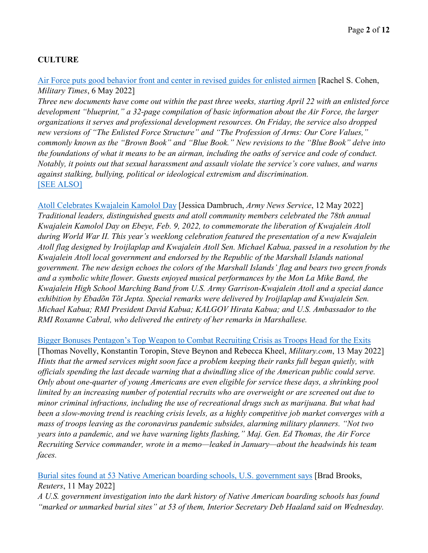## **CULTURE**

[Air Force puts good behavior front and center in revised guides for enlisted airmen](https://www.militarytimes.com/news/your-air-force/2022/05/06/air-force-puts-good-behavior-front-and-center-in-revised-guides-for-enlisted-airmen/) [Rachel S. Cohen, *Military Times*, 6 May 2022]

*Three new documents have come out within the past three weeks, starting April 22 with an enlisted force development "blueprint," a 32-page compilation of basic information about the Air Force, the larger organizations it serves and professional development resources. On Friday, the service also dropped new versions of "The Enlisted Force Structure" and "The Profession of Arms: Our Core Values," commonly known as the "Brown Book" and "Blue Book." New revisions to the "Blue Book" delve into the foundations of what it means to be an airman, including the oaths of service and code of conduct. Notably, it points out that sexual harassment and assault violate the service's core values, and warns against stalking, bullying, political or ideological extremism and discrimination.*  [\[SEE ALSO\]](https://www.af.mil/News/Article-Display/Article/3022387/revised-brown-blue-book-released/)

[Atoll Celebrates Kwajalein Kamolol Day](https://www.army.mil/article/256679/atoll_celebrates_kwajalein_kamolol_day) [Jessica Dambruch, *Army News Service*, 12 May 2022] *Traditional leaders, distinguished guests and atoll community members celebrated the 78th annual Kwajalein Kamolol Day on Ebeye, Feb. 9, 2022, to commemorate the liberation of Kwajalein Atoll during World War II. This year's weeklong celebration featured the presentation of a new Kwajalein Atoll flag designed by Iroijlaplap and Kwajalein Atoll Sen. Michael Kabua, passed in a resolution by the Kwajalein Atoll local government and endorsed by the Republic of the Marshall Islands national government. The new design echoes the colors of the Marshall Islands' flag and bears two green fronds and a symbolic white flower. Guests enjoyed musical performances by the Mon La Mike Band, the Kwajalein High School Marching Band from U.S. Army Garrison-Kwajalein Atoll and a special dance exhibition by Ebadõn Tõt Jepta. Special remarks were delivered by Iroijlaplap and Kwajalein Sen. Michael Kabua; RMI President David Kabua; KALGOV Hirata Kabua; and U.S. Ambassador to the RMI Roxanne Cabral, who delivered the entirety of her remarks in Marshallese.* 

[Bigger Bonuses Pentagon's Top Weapon to Combat Recruiting Crisis as Troops Head for the Exits](https://www.military.com/daily-news/2022/05/13/bigger-bonuses-pentagons-top-weapon-combat-recruiting-crisis-troops-head-exits.html) [Thomas Novelly, Konstantin Toropin, Steve Beynon and Rebecca Kheel, *Military.com*, 13 May 2022] *Hints that the armed services might soon face a problem keeping their ranks full began quietly, with officials spending the last decade warning that a dwindling slice of the American public could serve. Only about one-quarter of young Americans are even eligible for service these days, a shrinking pool limited by an increasing number of potential recruits who are overweight or are screened out due to minor criminal infractions, including the use of recreational drugs such as marijuana. But what had been a slow-moving trend is reaching crisis levels, as a highly competitive job market converges with a mass of troops leaving as the coronavirus pandemic subsides, alarming military planners. "Not two years into a pandemic, and we have warning lights flashing," Maj. Gen. Ed Thomas, the Air Force Recruiting Service commander, wrote in a memo—leaked in January—about the headwinds his team faces.*

[Burial sites found at 53 Native American boarding schools, U.S. government says](https://www.reuters.com/world/us/interior-dept-investigation-finds-burial-sites-53-indian-boarding-schools-2022-05-11/) [Brad Brooks, *Reuters*, 11 May 2022]

*A U.S. government investigation into the dark history of Native American boarding schools has found "marked or unmarked burial sites" at 53 of them, Interior Secretary Deb Haaland said on Wednesday.*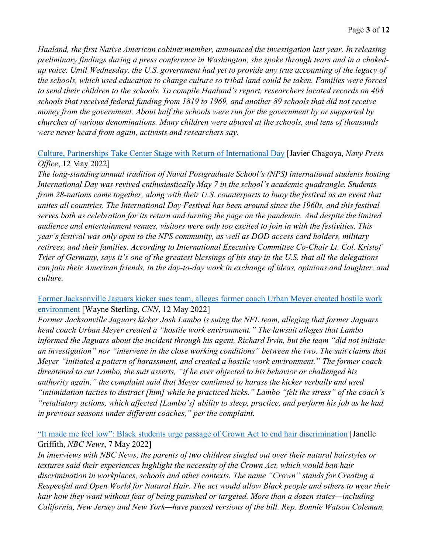*Haaland, the first Native American cabinet member, announced the investigation last year. In releasing preliminary findings during a press conference in Washington, she spoke through tears and in a chokedup voice. Until Wednesday, the U.S. government had yet to provide any true accounting of the legacy of the schools, which used education to change culture so tribal land could be taken. Families were forced to send their children to the schools. To compile Haaland's report, researchers located records on 408 schools that received federal funding from 1819 to 1969, and another 89 schools that did not receive money from the government. About half the schools were run for the government by or supported by churches of various denominations. Many children were abused at the schools, and tens of thousands were never heard from again, activists and researchers say.* 

#### [Culture, Partnerships Take Center Stage with Return of International Day](https://www.navy.mil/Press-Office/News-Stories/Article/3029297/culture-partnerships-take-center-stage-with-return-of-international-day/) [Javier Chagoya, *Navy Press Office*, 12 May 2022]

*The long-standing annual tradition of Naval Postgraduate School's (NPS) international students hosting International Day was revived enthusiastically May 7 in the school's academic quadrangle. Students from 28-nations came together, along with their U.S. counterparts to buoy the festival as an event that unites all countries. The International Day Festival has been around since the 1960s, and this festival serves both as celebration for its return and turning the page on the pandemic. And despite the limited audience and entertainment venues, visitors were only too excited to join in with the festivities. This year's festival was only open to the NPS community, as well as DOD access card holders, military retirees, and their families. According to International Executive Committee Co-Chair Lt. Col. Kristof Trier of Germany, says it's one of the greatest blessings of his stay in the U.S. that all the delegations can join their American friends, in the day-to-day work in exchange of ideas, opinions and laughter, and culture.*

## [Former Jacksonville Jaguars kicker sues team, alleges former coach Urban Meyer created hostile work](https://www.cnn.com/2022/05/12/sport/josh-lambo-jacksonville-jaguars-urban-meyer-spt-intl/index.html)  [environment](https://www.cnn.com/2022/05/12/sport/josh-lambo-jacksonville-jaguars-urban-meyer-spt-intl/index.html) [Wayne Sterling, *CNN*, 12 May 2022]

*Former Jacksonville Jaguars kicker Josh Lambo is suing the NFL team, alleging that former Jaguars head coach Urban Meyer created a "hostile work environment." The lawsuit alleges that Lambo informed the Jaguars about the incident through his agent, Richard Irvin, but the team "did not initiate an investigation" nor "intervene in the close working conditions" between the two. The suit claims that Meyer "initiated a pattern of harassment, and created a hostile work environment." The former coach threatened to cut Lambo, the suit asserts, "if he ever objected to his behavior or challenged his authority again." the complaint said that Meyer continued to harass the kicker verbally and used "intimidation tactics to distract [him] while he practiced kicks." Lambo "felt the stress" of the coach's "retaliatory actions, which affected [Lambo's] ability to sleep, practice, and perform his job as he had in previous seasons under different coaches," per the complaint.* 

## ["It made me feel low": Black students urge passage of Crown Act to end hair discrimination](https://www.nbcnews.com/news/us-news/-made-feel-low-black-students-urge-passage-crown-act-end-hair-discrimi-rcna27500) [Janelle Griffith, *NBC News*, 7 May 2022]

*In interviews with NBC News, the parents of two children singled out over their natural hairstyles or textures said their experiences highlight the necessity of the Crown Act, which would ban hair discrimination in workplaces, schools and other contexts. The name "Crown" stands for Creating a Respectful and Open World for Natural Hair. The act would allow Black people and others to wear their hair how they want without fear of being punished or targeted. More than a dozen states—including California, New Jersey and New York—have passed versions of the bill. Rep. Bonnie Watson Coleman,*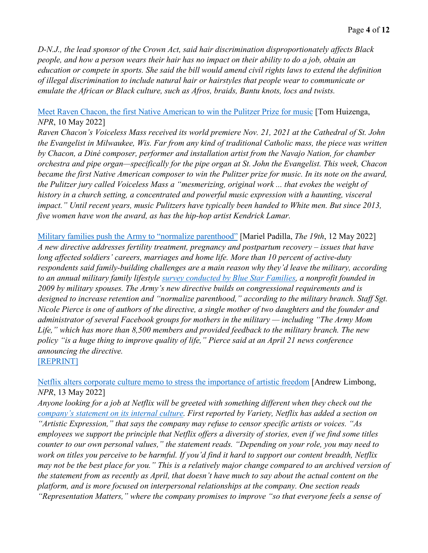*D-N.J., the lead sponsor of the Crown Act, said hair discrimination disproportionately affects Black people, and how a person wears their hair has no impact on their ability to do a job, obtain an education or compete in sports. She said the bill would amend civil rights laws to extend the definition of illegal discrimination to include natural hair or hairstyles that people wear to communicate or emulate the African or Black culture, such as Afros, braids, Bantu knots, locs and twists.* 

#### [Meet Raven Chacon, the first Native American to win the Pulitzer Prize for music](https://www.npr.org/sections/deceptivecadence/2022/05/10/1097760129/raven-chacon-pulitzer-prize-music) [Tom Huizenga, *NPR*, 10 May 2022]

*Raven Chacon's Voiceless Mass received its world premiere Nov. 21, 2021 at the Cathedral of St. John the Evangelist in Milwaukee, Wis. Far from any kind of traditional Catholic mass, the piece was written by Chacon, a Diné composer, performer and installation artist from the Navajo Nation, for chamber orchestra and pipe organ—specifically for the pipe organ at St. John the Evangelist. This week, Chacon became the first Native American composer to win the Pulitzer prize for music. In its note on the award, the Pulitzer jury called Voiceless Mass a "mesmerizing, original work ... that evokes the weight of history in a church setting, a concentrated and powerful music expression with a haunting, visceral impact." Until recent years, music Pulitzers have typically been handed to White men. But since 2013, five women have won the award, as has the hip-hop artist Kendrick Lamar.* 

[Military families push the Army to "normalize parenthood"](https://19thnews.org/2022/05/military-families-parenthood-tricare-army/) [Mariel Padilla, *The 19th*, 12 May 2022] *A new directive addresses fertility treatment, pregnancy and postpartum recovery – issues that have long affected soldiers' careers, marriages and home life. More than 10 percent of active-duty respondents said family-building challenges are a main reason why they'd leave the military, according to an annual military family lifestyle [survey conducted by Blue Star Families,](https://bluestarfam.org/research/mfls-survey-results-2021/%23reports) a nonprofit founded in 2009 by military spouses. The Army's new directive builds on congressional requirements and is designed to increase retention and "normalize parenthood," according to the military branch. Staff Sgt. Nicole Pierce is one of authors of the directive, a single mother of two daughters and the founder and administrator of several Facebook groups for mothers in the military — including "The Army Mom Life," which has more than 8,500 members and provided feedback to the military branch. The new policy "is a huge thing to improve quality of life," Pierce said at an April 21 news conference announcing the directive.*  [\[REPRINT\]](https://www.govexec.com/workforce/2022/05/military-families-push-army-normalize-parenthood/366852/)

[Netflix alters corporate culture memo to stress the importance of artistic freedom](https://www.npr.org/2022/05/13/1098753056/netflix-corporate-culture-memo) [Andrew Limbong, *NPR*, 13 May 2022]

*Anyone looking for a job at Netflix will be greeted with something different when they check out the [company's statement on its internal culture.](https://jobs.netflix.com/culture) First reported by Variety, Netflix has added a section on "Artistic Expression," that says the company may refuse to censor specific artists or voices. "As employees we support the principle that Netflix offers a diversity of stories, even if we find some titles counter to our own personal values," the statement reads. "Depending on your role, you may need to work on titles you perceive to be harmful. If you'd find it hard to support our content breadth, Netflix may not be the best place for you." This is a relatively major change compared to an archived version of the statement from as recently as April, that doesn't have much to say about the actual content on the platform, and is more focused on interpersonal relationships at the company. One section reads "Representation Matters," where the company promises to improve "so that everyone feels a sense of*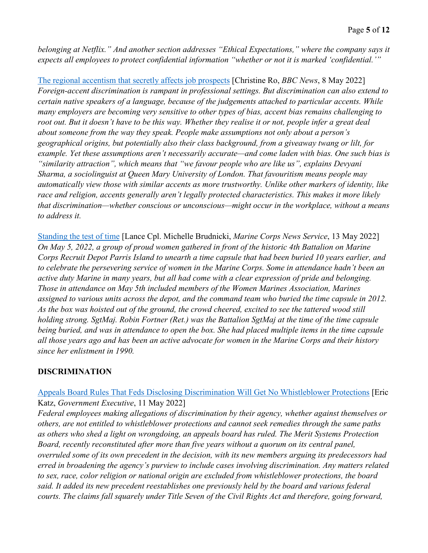*belonging at Netflix." And another section addresses "Ethical Expectations," where the company says it expects all employees to protect confidential information "whether or not it is marked 'confidential.'"* 

[The regional accentism that secretly affects job prospects](https://www.bbc.com/worklife/article/20220505-the-regional-accentism-that-secretly-affects-job-prospects) [Christine Ro, *BBC News*, 8 May 2022] *Foreign-accent discrimination is rampant in professional settings. But discrimination can also extend to certain native speakers of a language, because of the judgements attached to particular accents. While many employers are becoming very sensitive to other types of bias, accent bias remains challenging to root out. But it doesn't have to be this way. Whether they realise it or not, people infer a great deal about someone from the way they speak. People make assumptions not only about a person's geographical origins, but potentially also their class background, from a giveaway twang or lilt, for example. Yet these assumptions aren't necessarily accurate—and come laden with bias. One such bias is "similarity attraction", which means that "we favour people who are like us", explains Devyani Sharma, a sociolinguist at Queen Mary University of London. That favouritism means people may automatically view those with similar accents as more trustworthy. Unlike other markers of identity, like race and religion, accents generally aren't legally protected characteristics. This makes it more likely that discrimination—whether conscious or unconscious—might occur in the workplace, without a means to address it.* 

[Standing the test of time](https://www.marines.mil/News/News-Display/Article/3030451/standing-the-test-of-time/) [Lance Cpl. Michelle Brudnicki, *Marine Corps News Service*, 13 May 2022] *On May 5, 2022, a group of proud women gathered in front of the historic 4th Battalion on Marine Corps Recruit Depot Parris Island to unearth a time capsule that had been buried 10 years earlier, and to celebrate the persevering service of women in the Marine Corps. Some in attendance hadn't been an active duty Marine in many years, but all had come with a clear expression of pride and belonging. Those in attendance on May 5th included members of the Women Marines Association, Marines assigned to various units across the depot, and the command team who buried the time capsule in 2012. As the box was hoisted out of the ground, the crowd cheered, excited to see the tattered wood still holding strong. SgtMaj. Robin Fortner (Ret.) was the Battalion SgtMaj at the time of the time capsule being buried, and was in attendance to open the box. She had placed multiple items in the time capsule all those years ago and has been an active advocate for women in the Marine Corps and their history since her enlistment in 1990.* 

#### **DISCRIMINATION**

## [Appeals Board Rules That Feds Disclosing Discrimination Will Get No Whistleblower Protections](https://www.govexec.com/workforce/2022/05/appeals-board-rules-feds-disclosing-discrimination-no-whistleblower-protections/366818/) [Eric Katz, *Government Executive*, 11 May 2022]

*Federal employees making allegations of discrimination by their agency, whether against themselves or others, are not entitled to whistleblower protections and cannot seek remedies through the same paths as others who shed a light on wrongdoing, an appeals board has ruled. The Merit Systems Protection Board, recently reconstituted after more than five years without a quorum on its central panel, overruled some of its own precedent in the decision, with its new members arguing its predecessors had erred in broadening the agency's purview to include cases involving discrimination. Any matters related to sex, race, color religion or national origin are excluded from whistleblower protections, the board said. It added its new precedent reestablishes one previously held by the board and various federal courts. The claims fall squarely under Title Seven of the Civil Rights Act and therefore, going forward,*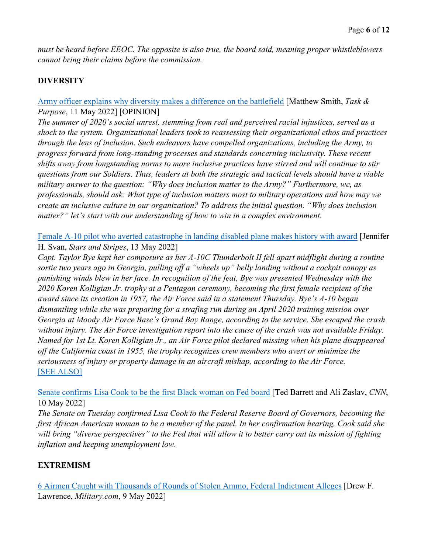*must be heard before EEOC. The opposite is also true, the board said, meaning proper whistleblowers cannot bring their claims before the commission.* 

## **DIVERSITY**

## [Army officer explains why diversity makes a difference on the battlefield](https://taskandpurpose.com/opinion/army-officer-diversity-inclusion/) [Matthew Smith, *Task & Purpose*, 11 May 2022] [OPINION]

*The summer of 2020's social unrest, stemming from real and perceived racial injustices, served as a shock to the system. Organizational leaders took to reassessing their organizational ethos and practices through the lens of inclusion. Such endeavors have compelled organizations, including the Army, to progress forward from long-standing processes and standards concerning inclusivity. These recent shifts away from longstanding norms to more inclusive practices have stirred and will continue to stir questions from our Soldiers. Thus, leaders at both the strategic and tactical levels should have a viable military answer to the question: "Why does inclusion matter to the Army?" Furthermore, we, as professionals, should ask: What type of inclusion matters most to military operations and how may we create an inclusive culture in our organization? To address the initial question, "Why does inclusion matter?" let's start with our understanding of how to win in a complex environment.*

[Female A-10 pilot who averted catastrophe in landing disabled plane makes history with award](https://www.stripes.com/branches/air_force/2022-05-13/combat-pilot-first-female-to-win-air-force-award-5987230.html) [Jennifer H. Svan, *Stars and Stripes*, 13 May 2022]

*Capt. Taylor Bye kept her composure as her A-10C Thunderbolt II fell apart midflight during a routine sortie two years ago in Georgia, pulling off a "wheels up" belly landing without a cockpit canopy as punishing winds blew in her face. In recognition of the feat, Bye was presented Wednesday with the 2020 Koren Kolligian Jr. trophy at a Pentagon ceremony, becoming the first female recipient of the award since its creation in 1957, the Air Force said in a statement Thursday. Bye's A-10 began dismantling while she was preparing for a strafing run during an April 2020 training mission over Georgia at Moody Air Force Base's Grand Bay Range, according to the service. She escaped the crash without injury. The Air Force investigation report into the cause of the crash was not available Friday. Named for 1st Lt. Koren Kolligian Jr., an Air Force pilot declared missing when his plane disappeared off the California coast in 1955, the trophy recognizes crew members who avert or minimize the seriousness of injury or property damage in an aircraft mishap, according to the Air Force.*  [\[SEE ALSO\]](https://www.af.mil/News/Article-Display/Article/3028894/first-female-aviator-receives-kolligian-trophy/)

[Senate confirms Lisa Cook to be the first Black woman on Fed board](https://www.cnn.com/2022/05/10/politics/senate-confirms-lisa-cook-fed-board/index.html) [Ted Barrett and Ali Zaslav, *CNN*, 10 May 2022]

*The Senate on Tuesday confirmed Lisa Cook to the Federal Reserve Board of Governors, becoming the first African American woman to be a member of the panel. In her confirmation hearing, Cook said she will bring "diverse perspectives" to the Fed that will allow it to better carry out its mission of fighting inflation and keeping unemployment low.* 

## **EXTREMISM**

[6 Airmen Caught with Thousands of Rounds of Stolen Ammo, Federal Indictment Alleges](https://www.military.com/daily-news/2022/05/09/6-airmen-caught-thousands-of-rounds-of-stolen-ammo-federal-indictment-alleges.html) [Drew F. Lawrence, *Military.com*, 9 May 2022]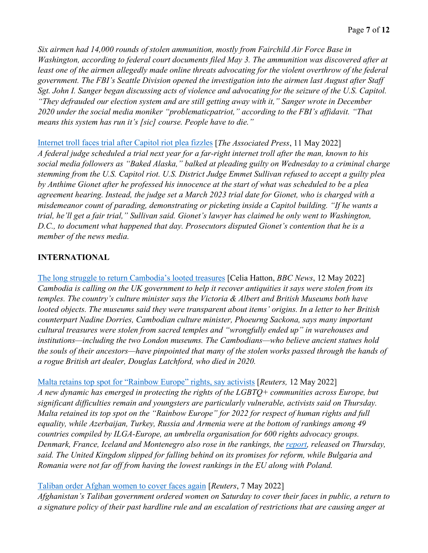*Six airmen had 14,000 rounds of stolen ammunition, mostly from Fairchild Air Force Base in Washington, according to federal court documents filed May 3. The ammunition was discovered after at least one of the airmen allegedly made online threats advocating for the violent overthrow of the federal government. The FBI's Seattle Division opened the investigation into the airmen last August after Staff Sgt. John I. Sanger began discussing acts of violence and advocating for the seizure of the U.S. Capitol. "They defrauded our election system and are still getting away with it," Sanger wrote in December 2020 under the social media moniker "problematicpatriot," according to the FBI's affidavit. "That means this system has run it's [sic] course. People have to die."* 

[Internet troll faces trial after Capitol riot plea fizzles](https://apnews.com/article/capitol-siege-alaska-riots-d62b4e1038d2c86a6976b43134f107a5) [*The Associated Press*, 11 May 2022] *A federal judge scheduled a trial next year for a far-right internet troll after the man, known to his social media followers as "Baked Alaska," balked at pleading guilty on Wednesday to a criminal charge stemming from the U.S. Capitol riot. U.S. District Judge Emmet Sullivan refused to accept a guilty plea by Anthime Gionet after he professed his innocence at the start of what was scheduled to be a plea agreement hearing. Instead, the judge set a March 2023 trial date for Gionet, who is charged with a misdemeanor count of parading, demonstrating or picketing inside a Capitol building. "If he wants a trial, he'll get a fair trial," Sullivan said. Gionet's lawyer has claimed he only went to Washington, D.C., to document what happened that day. Prosecutors disputed Gionet's contention that he is a member of the news media.*

## **INTERNATIONAL**

[The long struggle to return Cambodia's looted treasures](https://www.bbc.com/news/world-asia-61354625) [Celia Hatton, *BBC News*, 12 May 2022] *Cambodia is calling on the UK government to help it recover antiquities it says were stolen from its temples. The country's culture minister says the Victoria & Albert and British Museums both have looted objects. The museums said they were transparent about items' origins. In a letter to her British counterpart Nadine Dorries, Cambodian culture minister, Phoeurng Sackona, says many important cultural treasures were stolen from sacred temples and "wrongfully ended up" in warehouses and institutions—including the two London museums. The Cambodians—who believe ancient statues hold the souls of their ancestors—have pinpointed that many of the stolen works passed through the hands of a rogue British art dealer, Douglas Latchford, who died in 2020.* 

[Malta retains top spot for "Rainbow Europe" rights, say activists](https://www.reuters.com/world/europe/malta-retains-top-spot-rainbow-europe-gay-rights-say-activists-2022-05-12/) [*Reuters,* 12 May 2022]

*A new dynamic has emerged in protecting the rights of the LGBTQ+ communities across Europe, but significant difficulties remain and youngsters are particularly vulnerable, activists said on Thursday. Malta retained its top spot on the "Rainbow Europe" for 2022 for respect of human rights and full equality, while Azerbaijan, Turkey, Russia and Armenia were at the bottom of rankings among 49 countries compiled by ILGA-Europe, an umbrella organisation for 600 rights advocacy groups. Denmark, France, Iceland and Montenegro also rose in the rankings, the report, released on Thursday, said. The United Kingdom slipped for falling behind on its promises for reform, while Bulgaria and Romania were not far off from having the lowest rankings in the EU along with Poland.* 

[Taliban order Afghan women to cover faces again](https://www.reuters.com/world/asia-pacific/taliban-announce-women-must-cover-faces-public-say-burqa-is-best-2022-05-07/) [*Reuters*, 7 May 2022]

*Afghanistan's Taliban government ordered women on Saturday to cover their faces in public, a return to a signature policy of their past hardline rule and an escalation of restrictions that are causing anger at*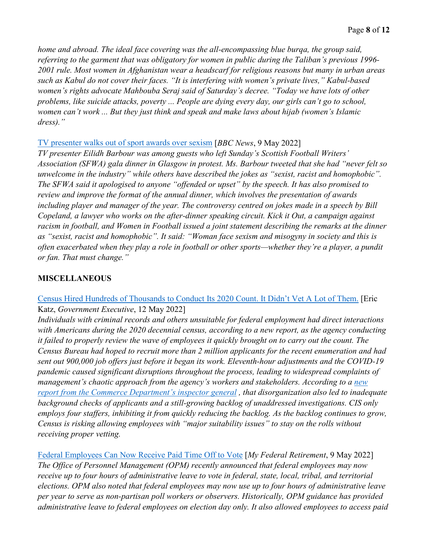*home and abroad. The ideal face covering was the all-encompassing blue burqa, the group said, referring to the garment that was obligatory for women in public during the Taliban's previous 1996- 2001 rule. Most women in Afghanistan wear a headscarf for religious reasons but many in urban areas such as Kabul do not cover their faces. "It is interfering with women's private lives," Kabul-based women's rights advocate Mahbouba Seraj said of Saturday's decree. "Today we have lots of other problems, like suicide attacks, poverty ... People are dying every day, our girls can't go to school, women can't work ... But they just think and speak and make laws about hijab (women's Islamic dress)."*

#### [TV presenter walks out of sport awards over sexism](https://www.bbc.com/news/uk-scotland-61379507) [*BBC News*, 9 May 2022]

*TV presenter Eilidh Barbour was among guests who left Sunday's Scottish Football Writers' Association (SFWA) gala dinner in Glasgow in protest. Ms. Barbour tweeted that she had "never felt so unwelcome in the industry" while others have described the jokes as "sexist, racist and homophobic". The SFWA said it apologised to anyone "offended or upset" by the speech. It has also promised to review and improve the format of the annual dinner, which involves the presentation of awards including player and manager of the year. The controversy centred on jokes made in a speech by Bill Copeland, a lawyer who works on the after-dinner speaking circuit. Kick it Out, a campaign against racism in football, and Women in Football issued a joint statement describing the remarks at the dinner as "sexist, racist and homophobic". It said: "Woman face sexism and misogyny in society and this is often exacerbated when they play a role in football or other sports—whether they're a player, a pundit or fan. That must change."* 

## **MISCELLANEOUS**

## [Census Hired Hundreds of Thousands to Conduct Its 2020 Count. It Didn't Vet A Lot of Them.](https://www.govexec.com/workforce/2022/05/census-hired-hundreds-thousands-2020-count-didnt-vet/366882/) [Eric Katz, *Government Executive*, 12 May 2022]

*Individuals with criminal records and others unsuitable for federal employment had direct interactions with Americans during the 2020 decennial census, according to a new report, as the agency conducting it failed to properly review the wave of employees it quickly brought on to carry out the count. The Census Bureau had hoped to recruit more than 2 million applicants for the recent enumeration and had sent out 900,000 job offers just before it began its work. Eleventh-hour adjustments and the COVID-19 pandemic caused significant disruptions throughout the process, leading to widespread complaints of management's chaotic approach from the agency's workers and stakeholders. According to a [new](https://www.oig.doc.gov/OIGPublications/OIG-22-021-I%20%28REDACTED%29.pdf)  report from the Commerce Department's inspector general, that disorganization also led to inadequate background checks of applicants and a still-growing backlog of unaddressed investigations. CIS only employs four staffers, inhibiting it from quickly reducing the backlog. As the backlog continues to grow, Census is risking allowing employees with "major suitability issues" to stay on the rolls without receiving proper vetting.*

[Federal Employees Can Now Receive Paid Time Off to Vote](https://www.myfederalretirement.com/paid-time-off-vote/) [*My Federal Retirement*, 9 May 2022] *The Office of Personnel Management (OPM) recently announced that federal employees may now receive up to four hours of administrative leave to vote in federal, state, local, tribal, and territorial elections. OPM also noted that federal employees may now use up to four hours of administrative leave per year to serve as non-partisan poll workers or observers. Historically, OPM guidance has provided administrative leave to federal employees on election day only. It also allowed employees to access paid*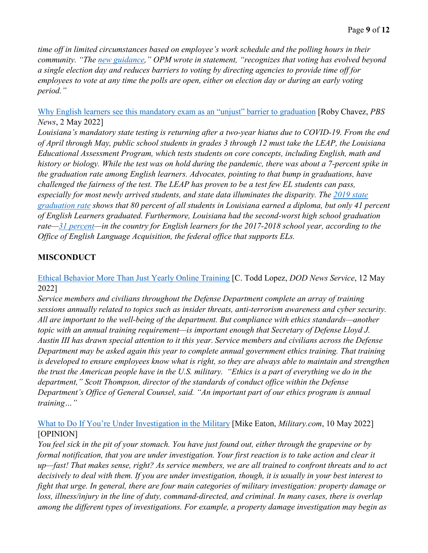*time off in limited circumstances based on employee's work schedule and the polling hours in their community. "The [new guidance,](https://chcoc.gov/content/executive-order-promoting-access-voting)" OPM wrote in statement, "recognizes that voting has evolved beyond a single election day and reduces barriers to voting by directing agencies to provide time off for employees to vote at any time the polls are open, either on election day or during an early voting period."* 

Why English learners [see this mandatory exam as an "unjust" barrier to graduation](https://www.pbs.org/newshour/nation/as-testing-restarts-in-louisiana-english-learners-see-a-big-barrier-to-graduating-rise-again) [Roby Chavez, *PBS News*, 2 May 2022]

*Louisiana's mandatory state testing is returning after a two-year hiatus due to COVID-19. From the end of April through May, public school students in grades 3 through 12 must take the LEAP, the Louisiana Educational Assessment Program, which tests students on core concepts, including English, math and history or biology. While the test was on hold during the pandemic, there was about a 7-percent spike in the graduation rate among English learners. Advocates, pointing to that bump in graduations, have challenged the fairness of the test. The LEAP has proven to be a test few EL students can pass, especially for most newly arrived students, and state data illuminates the disparity. The [2019 state](https://www.louisianabelieves.com/resources/library/high-school-performance)  [graduation rate](https://www.louisianabelieves.com/resources/library/high-school-performance) shows that 80 percent of all students in Louisiana earned a diploma, but only 41 percent of English Learners graduated. Furthermore, Louisiana had the second-worst high school graduation rate[—31 percent—](https://ncela.ed.gov/files/fast_facts/20200916-ELGraduationRatesFactSheet-508.pdf)in the country for English learners for the 2017-2018 school year, according to the Office of English Language Acquisition, the federal office that supports ELs.* 

## **MISCONDUCT**

[Ethical Behavior More Than Just Yearly Online Training](https://www.defense.gov/News/News-Stories/Article/Article/3023359/ethical-behavior-more-than-just-yearly-online-training/) [C. Todd Lopez, *DOD News Service*, 12 May 2022]

*Service members and civilians throughout the Defense Department complete an array of training sessions annually related to topics such as insider threats, anti-terrorism awareness and cyber security. All are important to the well-being of the department. But compliance with ethics standards—another topic with an annual training requirement—is important enough that Secretary of Defense Lloyd J. Austin III has drawn special attention to it this year. Service members and civilians across the Defense Department may be asked again this year to complete annual government ethics training. That training is developed to ensure employees know what is right, so they are always able to maintain and strengthen the trust the American people have in the U.S. military.  "Ethics is a part of everything we do in the department," Scott Thompson, director of the standards of conduct office within the Defense Department's Office of General Counsel, said. "An important part of our ethics program is annual training…"*

## [What to Do If You're Under Investigation in the Military](https://www.military.com/daily-news/opinions/2022/05/10/what-do-if-youre-under-investigation-military.html) [Mike Eaton, *Military.com*, 10 May 2022] [OPINION]

*You feel sick in the pit of your stomach. You have just found out, either through the grapevine or by formal notification, that you are under investigation. Your first reaction is to take action and clear it up—fast! That makes sense, right? As service members, we are all trained to confront threats and to act decisively to deal with them. If you are under investigation, though, it is usually in your best interest to fight that urge. In general, there are four main categories of military investigation: property damage or loss, illness/injury in the line of duty, command-directed, and criminal. In many cases, there is overlap among the different types of investigations. For example, a property damage investigation may begin as*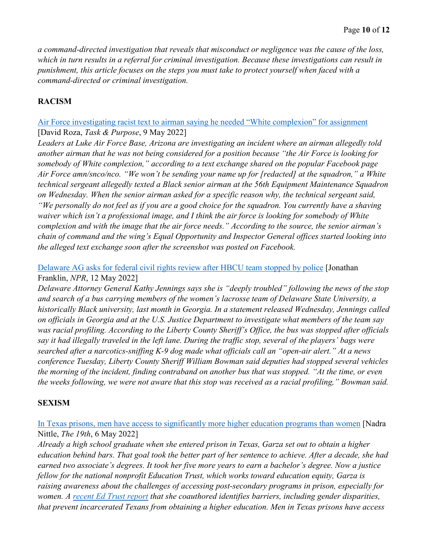*a command-directed investigation that reveals that misconduct or negligence was the cause of the loss, which in turn results in a referral for criminal investigation. Because these investigations can result in punishment, this article focuses on the steps you must take to protect yourself when faced with a command-directed or criminal investigation.* 

## **RACISM**

#### [Air Force investigating racist text to airman saying he needed "White complexion" for assignment](https://taskandpurpose.com/news/air-force-shaving-waiver-racism/) [David Roza, *Task & Purpose*, 9 May 2022]

*Leaders at Luke Air Force Base, Arizona are investigating an incident where an airman allegedly told another airman that he was not being considered for a position because "the Air Force is looking for somebody of White complexion," according to a text exchange shared on the popular Facebook page Air Force amn/snco/nco. "We won't be sending your name up for [redacted] at the squadron," a White technical sergeant allegedly texted a Black senior airman at the 56th Equipment Maintenance Squadron on Wednesday. When the senior airman asked for a specific reason why, the technical sergeant said, "We personally do not feel as if you are a good choice for the squadron. You currently have a shaving waiver which isn't a professional image, and I think the air force is looking for somebody of White complexion and with the image that the air force needs." According to the source, the senior airman's chain of command and the wing's Equal Opportunity and Inspector General offices started looking into the alleged text exchange soon after the screenshot was posted on Facebook.* 

## [Delaware AG asks for federal civil rights review after HBCU team stopped by police](https://www.npr.org/2022/05/12/1098357648/delaware-state-lacrosse-bus-incident-georgia) [Jonathan Franklin, *NPR*, 12 May 2022]

*Delaware Attorney General Kathy Jennings says she is "deeply troubled" following the news of the stop and search of a bus carrying members of the women's lacrosse team of Delaware State University, a historically Black university, last month in Georgia. In a statement released Wednesday, Jennings called on officials in Georgia and at the U.S. Justice Department to investigate what members of the team say was racial profiling. According to the Liberty County Sheriff's Office, the bus was stopped after officials say it had illegally traveled in the left lane. During the traffic stop, several of the players' bags were searched after a narcotics-sniffing K-9 dog made what officials call an "open-air alert." At a news conference Tuesday, Liberty County Sheriff William Bowman said deputies had stopped several vehicles the morning of the incident, finding contraband on another bus that was stopped. "At the time, or even the weeks following, we were not aware that this stop was received as a racial profiling," Bowman said.* 

#### **SEXISM**

## [In Texas prisons, men have access to significantly more higher education programs than women](https://19thnews.org/2022/05/texas-prison-higher-education-system-inequity/) [Nadra Nittle, *The 19th*, 6 May 2022]

*Already a high school graduate when she entered prison in Texas, Garza set out to obtain a higher education behind bars. That goal took the better part of her sentence to achieve. After a decade, she had earned two associate's degrees. It took her five more years to earn a bachelor's degree. Now a justice fellow for the national nonprofit Education Trust, which works toward education equity, Garza is raising awareness about the challenges of accessing post-secondary programs in prison, especially for women. A [recent Ed Trust report](https://edtrust.org/wp-content/uploads/2014/09/Texas-Beyond-the-Ban-A-Toolkit-for-Advancing-College-Opportunity-for-Justice-Impacted-Students-March-2022.pdf) that she coauthored identifies barriers, including gender disparities, that prevent incarcerated Texans from obtaining a higher education. Men in Texas prisons have access*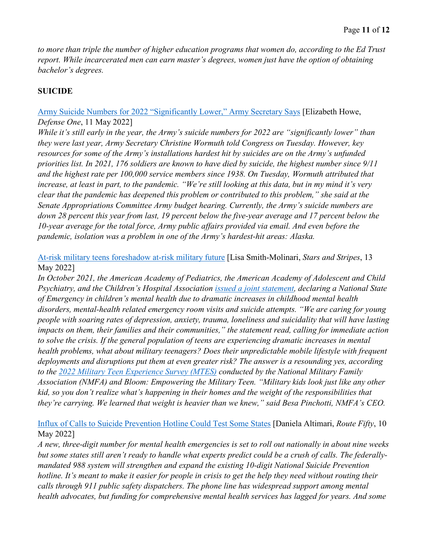*to more than triple the number of higher education programs that women do, according to the Ed Trust report. While incarcerated men can earn master's degrees, women just have the option of obtaining bachelor's degrees.* 

## **SUICIDE**

#### [Army Suicide Numbers for 2022 "Significantly Lower,"](https://www.defenseone.com/policy/2022/05/army-suicide-numbers-2022-significantly-lower-army-secretary-says/366741/) Army Secretary Says [Elizabeth Howe, *Defense One*, 11 May 2022]

*While it's still early in the year, the Army's suicide numbers for 2022 are "significantly lower" than they were last year, Army Secretary Christine Wormuth told Congress on Tuesday. However, key resources for some of the Army's installations hardest hit by suicides are on the Army's unfunded priorities list. In 2021, 176 soldiers are known to have died by suicide, the highest number since 9/11 and the highest rate per 100,000 service members since 1938. On Tuesday, Wormuth attributed that increase, at least in part, to the pandemic. "We're still looking at this data, but in my mind it's very clear that the pandemic has deepened this problem or contributed to this problem," she said at the Senate Appropriations Committee Army budget hearing. Currently, the Army's suicide numbers are down 28 percent this year from last, 19 percent below the five-year average and 17 percent below the 10-year average for the total force, Army public affairs provided via email. And even before the pandemic, isolation was a problem in one of the Army's hardest-hit areas: Alaska.* 

[At-risk military teens foreshadow at-risk military future](https://www.stripes.com/living/the_meat_and_potatoes_of_life/2022-05-13/at-risk-military-teens-foreshadow-at-risk-military-future-5956256.html) [Lisa Smith-Molinari, *Stars and Stripes*, 13 May 2022]

*In October 2021, the American Academy of Pediatrics, the American Academy of Adolescent and Child Psychiatry, and the Children's Hospital Association [issued a joint statement,](https://www.aap.org/en/advocacy/child-and-adolescent-healthy-mental-development/aap-aacap-cha-declaration-of-a-national-emergency-in-child-and-adolescent-mental-health/) declaring a National State of Emergency in children's mental health due to dramatic increases in childhood mental health disorders, mental-health related emergency room visits and suicide attempts. "We are caring for young people with soaring rates of depression, anxiety, trauma, loneliness and suicidality that will have lasting impacts on them, their families and their communities," the statement read, calling for immediate action to solve the crisis. If the general population of teens are experiencing dramatic increases in mental health problems, what about military teenagers? Does their unpredictable mobile lifestyle with frequent deployments and disruptions put them at even greater risk? The answer is a resounding yes, according to the [2022 Military Teen Experience Survey \(MTES\)](https://www.militaryfamily.org/the-military-teen-experience-2022/) conducted by the National Military Family Association (NMFA) and Bloom: Empowering the Military Teen. "Military kids look just like any other kid, so you don't realize what's happening in their homes and the weight of the responsibilities that they're carrying. We learned that weight is heavier than we knew," said Besa Pinchotti, NMFA's CEO.* 

[Influx of Calls to Suicide Prevention Hotline Could Test Some States](https://www.route-fifty.com/health-human-services/2022/05/988-system-mental-health-emergencies-will-launch-nationwide-july-16-will-states-be-ready-influx-calls/366752/) [Daniela Altimari, *Route Fifty*, 10 May 2022]

*A new, three-digit number for mental health emergencies is set to roll out nationally in about nine weeks but some states still aren't ready to handle what experts predict could be a crush of calls. The federallymandated 988 system will strengthen and expand the existing 10-digit National Suicide Prevention hotline. It's meant to make it easier for people in crisis to get the help they need without routing their calls through 911 public safety dispatchers. The phone line has widespread support among mental health advocates, but funding for comprehensive mental health services has lagged for years. And some*